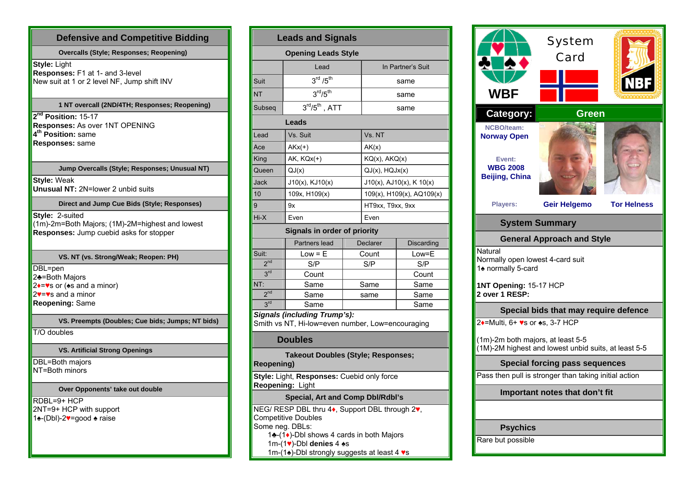## **Defensive and Competitive Bidding Overcalls (Style; Responses; Reopening) Style:** Light **Responses:** F1 at 1- and 3-level New suit at 1 or 2 level NF, Jump shift INV **1 NT overcall (2ND/4TH; Responses; Reopening) 2nd Position:** 15-17 **Responses:** As over 1NT OPENING **4th Position:** same**Responses:** same **Jump Overcalls (Style; Responses; Unusual NT) Style:** Weak **Unusual NT:** 2N=lower 2 unbid suits **Direct and Jump Cue Bids (Style; Responses) Style: 2-suited** (1m)-2m=Both Majors; (1M)-2M=highest and lowest **Responses:** Jump cuebid asks for stopper **VS. NT (vs. Strong/Weak; Reopen: PH)**  DBL=pen  $2$  $\triangle$ =Both Majors  $2 \rightarrow$  ≈ or ( $\ast$ s and a minor) 2♥=♥s and a minor **Reopening:** Same **VS. Preempts (Doubles; Cue bids; Jumps; NT bids)**  T/O doubles **VS. Artificial Strong Openings**  DBL=Both majors NT=Both minors **Over Opponents' take out double**  RDBL=9+ HCP  $2NT=9+HCP$  with support 1♠-(Dbl)-2 ♥=good ♠ raise

| <b>Leads and Signals</b>                                                                                                                                          |                                   |  |                           |       |  |  |  |  |  |
|-------------------------------------------------------------------------------------------------------------------------------------------------------------------|-----------------------------------|--|---------------------------|-------|--|--|--|--|--|
| <b>Opening Leads Style</b>                                                                                                                                        |                                   |  |                           |       |  |  |  |  |  |
|                                                                                                                                                                   | Lead                              |  | In Partner's Suit         |       |  |  |  |  |  |
| Suit                                                                                                                                                              | 3 <sup>rd</sup> / 5 <sup>th</sup> |  | same                      |       |  |  |  |  |  |
| NT                                                                                                                                                                | 3 <sup>rd</sup> /5 <sup>th</sup>  |  | same                      |       |  |  |  |  |  |
| Subseq                                                                                                                                                            | $3rd/5th$ , ATT                   |  | same                      |       |  |  |  |  |  |
|                                                                                                                                                                   | Leads                             |  |                           |       |  |  |  |  |  |
| Lead                                                                                                                                                              | Vs. Suit                          |  | Vs. NT                    |       |  |  |  |  |  |
| Ace                                                                                                                                                               | $AKx(+)$                          |  | AK(x)                     |       |  |  |  |  |  |
| King                                                                                                                                                              | $AK$ , $KQx(+)$                   |  | KQ(x), AKQ(x)             |       |  |  |  |  |  |
| Queen                                                                                                                                                             | QJ(x)                             |  | $QJ(x)$ , $HQJx(x)$       |       |  |  |  |  |  |
| Jack                                                                                                                                                              | J10(x), KJ10(x)                   |  | J10(x), AJ10(x), K 10(x)  |       |  |  |  |  |  |
| 10                                                                                                                                                                | 109x, H109(x)                     |  | 109(x), H109(x), AQ109(x) |       |  |  |  |  |  |
| 9                                                                                                                                                                 | 9x                                |  | HT9xx, T9xx, 9xx          |       |  |  |  |  |  |
| Hi-X                                                                                                                                                              | Even                              |  | Even                      |       |  |  |  |  |  |
|                                                                                                                                                                   | Signals in order of priority      |  |                           |       |  |  |  |  |  |
|                                                                                                                                                                   | Partners lead                     |  | Declarer<br>Discarding    |       |  |  |  |  |  |
| Suit:                                                                                                                                                             | Low = E                           |  | Count                     | Low=E |  |  |  |  |  |
| 2 <sup>nd</sup>                                                                                                                                                   | S/P                               |  | S/P                       | S/P   |  |  |  |  |  |
| 3 <sup>rd</sup>                                                                                                                                                   | Count                             |  |                           | Count |  |  |  |  |  |
| NT:                                                                                                                                                               | Same                              |  | Same                      | Same  |  |  |  |  |  |
| 2 <sup>nd</sup>                                                                                                                                                   | Same                              |  | same                      | Same  |  |  |  |  |  |
| 3 <sup>rd</sup>                                                                                                                                                   | Same                              |  |                           | Same  |  |  |  |  |  |
| <b>Signals (including Trump's):</b><br>Smith vs NT, Hi-low=even number, Low=encouraging                                                                           |                                   |  |                           |       |  |  |  |  |  |
| <b>Doubles</b>                                                                                                                                                    |                                   |  |                           |       |  |  |  |  |  |
| <b>Takeout Doubles (Style; Responses;</b><br>Reopening)                                                                                                           |                                   |  |                           |       |  |  |  |  |  |
| Style: Light, Responses: Cuebid only force<br>Reopening: Light                                                                                                    |                                   |  |                           |       |  |  |  |  |  |
| Special, Art and Comp Dbl/Rdbl's                                                                                                                                  |                                   |  |                           |       |  |  |  |  |  |
| NEG/ RESP DBL thru 4♦, Support DBL through 2♥,<br>Competitive Doubles<br>Some neg. DBLs:<br>1♣ - (1♦)-Dbl shows 4 cards in both Majors<br>1m-(1v)-Dbl denies 4 +s |                                   |  |                           |       |  |  |  |  |  |
| 1m-(1♠)-Dbl strongly suggests at least 4 vs                                                                                                                       |                                   |  |                           |       |  |  |  |  |  |

| WBF                                                                                       | <b>System</b><br>Card             | <b>NB</b>          |  |  |  |  |  |
|-------------------------------------------------------------------------------------------|-----------------------------------|--------------------|--|--|--|--|--|
| Category:                                                                                 | <b>Green</b>                      |                    |  |  |  |  |  |
| <b>NCBO/team:</b><br><b>Norway Open</b>                                                   |                                   |                    |  |  |  |  |  |
| Event:<br><b>WBG 2008</b><br><b>Beijing, China</b>                                        |                                   |                    |  |  |  |  |  |
| <b>Players:</b>                                                                           | <b>Geir Helgemo</b>               | <b>Tor Helness</b> |  |  |  |  |  |
| <b>System Summary</b>                                                                     |                                   |                    |  |  |  |  |  |
|                                                                                           | <b>General Approach and Style</b> |                    |  |  |  |  |  |
| Natural<br>Normally open lowest 4-card suit<br>1 <sup>★</sup> normally 5-card             |                                   |                    |  |  |  |  |  |
| 1NT Opening: 15-17 HCP<br>2 over 1 RESP:                                                  |                                   |                    |  |  |  |  |  |
| Special bids that may require defence                                                     |                                   |                    |  |  |  |  |  |
| 2♦=Multi, 6+ ♥s or ♠s, 3-7 HCP                                                            |                                   |                    |  |  |  |  |  |
| (1m)-2m both majors, at least 5-5<br>(1M)-2M highest and lowest unbid suits, at least 5-5 |                                   |                    |  |  |  |  |  |
| <b>Special forcing pass sequences</b>                                                     |                                   |                    |  |  |  |  |  |
| Pass then pull is stronger than taking initial action                                     |                                   |                    |  |  |  |  |  |
| Important notes that don't fit                                                            |                                   |                    |  |  |  |  |  |
|                                                                                           |                                   |                    |  |  |  |  |  |
| <b>Psychics</b>                                                                           |                                   |                    |  |  |  |  |  |
| Rare but possible                                                                         |                                   |                    |  |  |  |  |  |
|                                                                                           |                                   |                    |  |  |  |  |  |